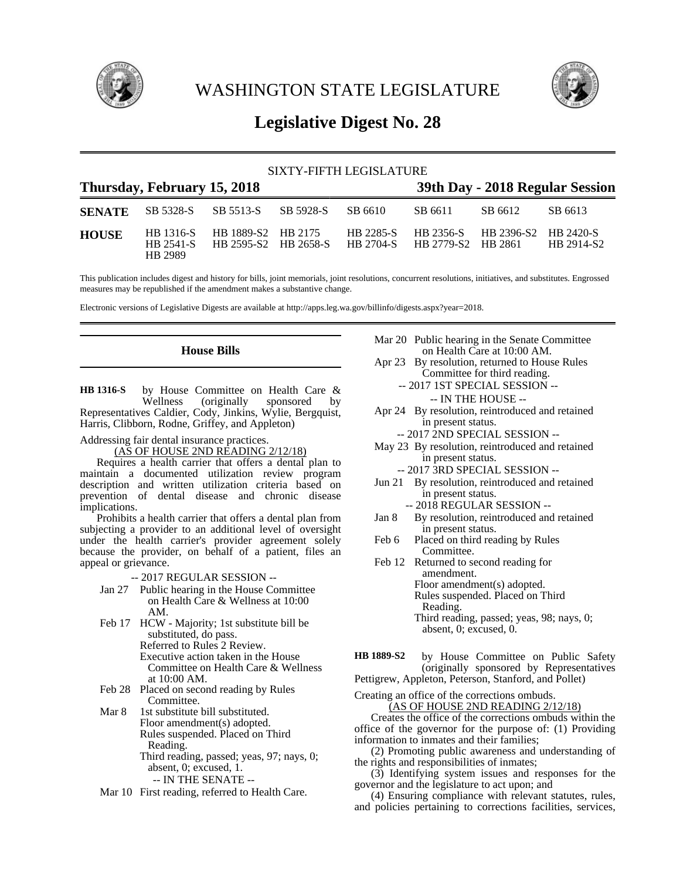

WASHINGTON STATE LEGISLATURE



# **Legislative Digest No. 28**

| SIXTY-FIFTH LEGISLATURE     |                                   |                                            |  |           |                                 |                      |                         |
|-----------------------------|-----------------------------------|--------------------------------------------|--|-----------|---------------------------------|----------------------|-------------------------|
| Thursday, February 15, 2018 |                                   |                                            |  |           | 39th Day - 2018 Regular Session |                      |                         |
| <b>SENATE</b>               | SB 5328-S                         | SB 5513-S SB 5928-S                        |  | SB 6610   | SB 6611                         | SB 6612              | SB 6613                 |
| <b>HOUSE</b>                | HB 1316-S<br>HB 2541-S<br>HB 2989 | HB 1889-S2 HB 2175<br>HB 2595-S2 HB 2658-S |  | HB 2285-S | HB 2704-S HB 2779-S2 HB 2861    | HB 2356-S HB 2396-S2 | HB 2420-S<br>HB 2914-S2 |

This publication includes digest and history for bills, joint memorials, joint resolutions, concurrent resolutions, initiatives, and substitutes. Engrossed measures may be republished if the amendment makes a substantive change.

Electronic versions of Legislative Digests are available at http://apps.leg.wa.gov/billinfo/digests.aspx?year=2018.

# **House Bills**

by House Committee on Health Care & Wellness (originally sponsored by (originally sponsored by Representatives Caldier, Cody, Jinkins, Wylie, Bergquist, Harris, Clibborn, Rodne, Griffey, and Appleton) **HB 1316-S**

Addressing fair dental insurance practices.

(AS OF HOUSE 2ND READING 2/12/18)

Requires a health carrier that offers a dental plan to maintain a documented utilization review program description and written utilization criteria based on prevention of dental disease and chronic disease implications.

Prohibits a health carrier that offers a dental plan from subjecting a provider to an additional level of oversight under the health carrier's provider agreement solely because the provider, on behalf of a patient, files an appeal or grievance.

-- 2017 REGULAR SESSION --

- Jan 27 Public hearing in the House Committee on Health Care & Wellness at 10:00 AM.
- Feb 17 HCW Majority; 1st substitute bill be substituted, do pass. Referred to Rules 2 Review. Executive action taken in the House Committee on Health Care & Wellness at 10:00 AM.
- Feb 28 Placed on second reading by Rules Committee.
- Mar 8 1st substitute bill substituted. Floor amendment(s) adopted. Rules suspended. Placed on Third Reading. Third reading, passed; yeas, 97; nays, 0; absent, 0; excused, 1.

-- IN THE SENATE --

Mar 10 First reading, referred to Health Care.

- Mar 20 Public hearing in the Senate Committee on Health Care at 10:00 AM.
- Apr 23 By resolution, returned to House Rules Committee for third reading.
	- -- 2017 1ST SPECIAL SESSION --
		- -- IN THE HOUSE --
- Apr 24 By resolution, reintroduced and retained in present status.
	- -- 2017 2ND SPECIAL SESSION --
- May 23 By resolution, reintroduced and retained in present status.
	- -- 2017 3RD SPECIAL SESSION --
- Jun 21 By resolution, reintroduced and retained in present status.
	- -- 2018 REGULAR SESSION --
- Jan 8 By resolution, reintroduced and retained in present status.
- Feb 6 Placed on third reading by Rules Committee.
- Feb 12 Returned to second reading for amendment. Floor amendment(s) adopted. Rules suspended. Placed on Third Reading. Third reading, passed; yeas, 98; nays, 0; absent, 0; excused, 0.
- by House Committee on Public Safety (originally sponsored by Representatives Pettigrew, Appleton, Peterson, Stanford, and Pollet) **HB 1889-S2**

Creating an office of the corrections ombuds.

(AS OF HOUSE 2ND READING 2/12/18)

Creates the office of the corrections ombuds within the office of the governor for the purpose of: (1) Providing information to inmates and their families;

(2) Promoting public awareness and understanding of the rights and responsibilities of inmates;

(3) Identifying system issues and responses for the governor and the legislature to act upon; and

(4) Ensuring compliance with relevant statutes, rules, and policies pertaining to corrections facilities, services,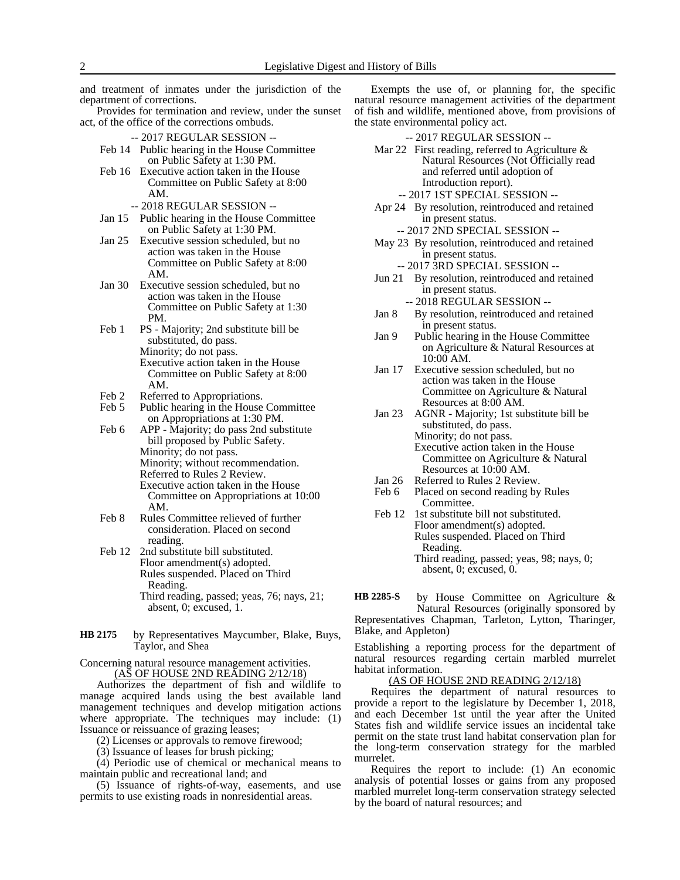and treatment of inmates under the jurisdiction of the department of corrections.

Provides for termination and review, under the sunset act, of the office of the corrections ombuds.

- -- 2017 REGULAR SESSION --
- Feb 14 Public hearing in the House Committee on Public Safety at 1:30 PM.
- Feb 16 Executive action taken in the House Committee on Public Safety at 8:00 AM.
	- -- 2018 REGULAR SESSION --
- Jan 15 Public hearing in the House Committee on Public Safety at 1:30 PM.
- Jan 25 Executive session scheduled, but no action was taken in the House Committee on Public Safety at 8:00 AM.
- Jan 30 Executive session scheduled, but no action was taken in the House Committee on Public Safety at 1:30 PM.
- Feb 1 PS Majority; 2nd substitute bill be substituted, do pass. Minority; do not pass. Executive action taken in the House Committee on Public Safety at 8:00 AM.
- Feb 2 Referred to Appropriations.
- Feb 5 Public hearing in the House Committee on Appropriations at 1:30 PM.
- Feb 6 APP Majority; do pass 2nd substitute bill proposed by Public Safety. Minority; do not pass. Minority; without recommendation. Referred to Rules 2 Review. Executive action taken in the House Committee on Appropriations at 10:00 AM.
- Feb 8 Rules Committee relieved of further consideration. Placed on second reading.
- Feb 12 2nd substitute bill substituted. Floor amendment(s) adopted. Rules suspended. Placed on Third Reading. Third reading, passed; yeas, 76; nays, 21; absent, 0; excused, 1.
- by Representatives Maycumber, Blake, Buys, Taylor, and Shea **HB 2175**

Concerning natural resource management activities. (AS OF HOUSE 2ND READING 2/12/18)

Authorizes the department of fish and wildlife to manage acquired lands using the best available land management techniques and develop mitigation actions where appropriate. The techniques may include: (1) Issuance or reissuance of grazing leases;

(2) Licenses or approvals to remove firewood;

(3) Issuance of leases for brush picking;

(4) Periodic use of chemical or mechanical means to maintain public and recreational land; and

(5) Issuance of rights-of-way, easements, and use permits to use existing roads in nonresidential areas.

Exempts the use of, or planning for, the specific natural resource management activities of the department of fish and wildlife, mentioned above, from provisions of the state environmental policy act.

- -- 2017 REGULAR SESSION --
- Mar 22 First reading, referred to Agriculture  $\&$ Natural Resources (Not Officially read and referred until adoption of Introduction report).
	- -- 2017 1ST SPECIAL SESSION --
- Apr 24 By resolution, reintroduced and retained in present status.
	- -- 2017 2ND SPECIAL SESSION --
- May 23 By resolution, reintroduced and retained in present status.
	- -- 2017 3RD SPECIAL SESSION --
- Jun 21 By resolution, reintroduced and retained in present status.
	- -- 2018 REGULAR SESSION --
- Jan 8 By resolution, reintroduced and retained in present status.
- Jan 9 Public hearing in the House Committee on Agriculture & Natural Resources at 10:00 AM.
- Jan 17 Executive session scheduled, but no action was taken in the House Committee on Agriculture & Natural Resources at 8:00 AM.
- Jan 23 AGNR Majority; 1st substitute bill be substituted, do pass. Minority; do not pass.
	- Executive action taken in the House Committee on Agriculture & Natural Resources at 10:00 AM.
- Jan 26 Referred to Rules 2 Review.
- Feb 6 Placed on second reading by Rules Committee.
- Feb 12 1st substitute bill not substituted. Floor amendment(s) adopted. Rules suspended. Placed on Third Reading. Third reading, passed; yeas, 98; nays, 0; absent, 0; excused, 0.
- by House Committee on Agriculture & Natural Resources (originally sponsored by **HB 2285-S**

Representatives Chapman, Tarleton, Lytton, Tharinger, Blake, and Appleton)

Establishing a reporting process for the department of natural resources regarding certain marbled murrelet habitat information.

(AS OF HOUSE 2ND READING 2/12/18)

Requires the department of natural resources to provide a report to the legislature by December 1, 2018, and each December 1st until the year after the United States fish and wildlife service issues an incidental take permit on the state trust land habitat conservation plan for the long-term conservation strategy for the marbled murrelet.

Requires the report to include: (1) An economic analysis of potential losses or gains from any proposed marbled murrelet long-term conservation strategy selected by the board of natural resources; and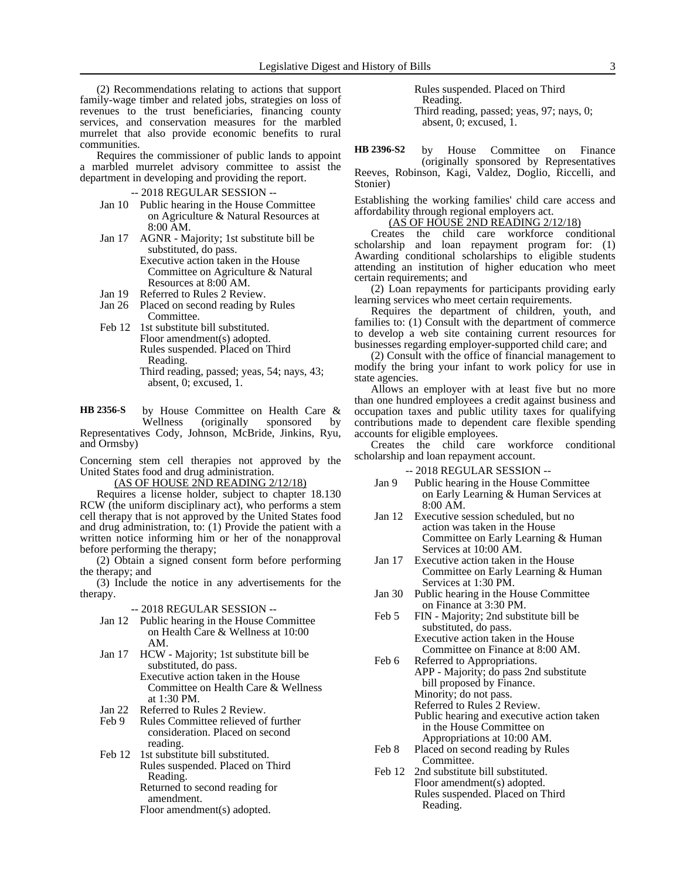(2) Recommendations relating to actions that support family-wage timber and related jobs, strategies on loss of revenues to the trust beneficiaries, financing county services, and conservation measures for the marbled murrelet that also provide economic benefits to rural communities.

Requires the commissioner of public lands to appoint a marbled murrelet advisory committee to assist the department in developing and providing the report.

- -- 2018 REGULAR SESSION --
- Jan 10 Public hearing in the House Committee on Agriculture & Natural Resources at 8:00 AM.
- Jan 17 AGNR Majority; 1st substitute bill be substituted, do pass. Executive action taken in the House Committee on Agriculture & Natural
	- Resources at 8:00 AM.
- Jan 19 Referred to Rules 2 Review.<br>Jan 26 Placed on second reading by Placed on second reading by Rules Committee.
- Feb 12 1st substitute bill substituted. Floor amendment(s) adopted. Rules suspended. Placed on Third Reading. Third reading, passed; yeas, 54; nays, 43; absent, 0; excused, 1.

by House Committee on Health Care & Wellness (originally sponsored by Representatives Cody, Johnson, McBride, Jinkins, Ryu, and Ormsby) **HB 2356-S**

Concerning stem cell therapies not approved by the United States food and drug administration.

(AS OF HOUSE 2ND READING 2/12/18)

Requires a license holder, subject to chapter 18.130 RCW (the uniform disciplinary act), who performs a stem cell therapy that is not approved by the United States food and drug administration, to: (1) Provide the patient with a written notice informing him or her of the nonapproval before performing the therapy;

(2) Obtain a signed consent form before performing the therapy; and

(3) Include the notice in any advertisements for the therapy.

### -- 2018 REGULAR SESSION --

- Jan 12 Public hearing in the House Committee on Health Care & Wellness at 10:00 AM.
- Jan 17 HCW Majority; 1st substitute bill be substituted, do pass. Executive action taken in the House Committee on Health Care & Wellness at 1:30 PM.
- Jan 22 Referred to Rules 2 Review.
- Feb 9 Rules Committee relieved of further consideration. Placed on second reading.
- Feb 12 1st substitute bill substituted. Rules suspended. Placed on Third Reading. Returned to second reading for
	- amendment. Floor amendment(s) adopted.

Rules suspended. Placed on Third Reading. Third reading, passed; yeas, 97; nays, 0; absent, 0; excused, 1.

by House Committee on Finance (originally sponsored by Representatives Reeves, Robinson, Kagi, Valdez, Doglio, Riccelli, and Stonier) **HB 2396-S2**

Establishing the working families' child care access and affordability through regional employers act.

(AS OF HOUSE 2ND READING 2/12/18)

Creates the child care workforce conditional scholarship and loan repayment program for: (1) Awarding conditional scholarships to eligible students attending an institution of higher education who meet certain requirements; and

(2) Loan repayments for participants providing early learning services who meet certain requirements.

Requires the department of children, youth, and families to: (1) Consult with the department of commerce to develop a web site containing current resources for businesses regarding employer-supported child care; and

(2) Consult with the office of financial management to modify the bring your infant to work policy for use in state agencies.

Allows an employer with at least five but no more than one hundred employees a credit against business and occupation taxes and public utility taxes for qualifying contributions made to dependent care flexible spending accounts for eligible employees.

Creates the child care workforce conditional scholarship and loan repayment account.

- -- 2018 REGULAR SESSION --
- Jan 9 Public hearing in the House Committee on Early Learning & Human Services at 8:00 AM.
- Jan 12 Executive session scheduled, but no action was taken in the House Committee on Early Learning & Human Services at 10:00 AM.
- Jan 17 Executive action taken in the House Committee on Early Learning & Human Services at 1:30 PM.
- Jan 30 Public hearing in the House Committee on Finance at 3:30 PM.
- Feb 5 FIN Majority; 2nd substitute bill be substituted, do pass. Executive action taken in the House Committee on Finance at 8:00 AM.
- Feb 6 Referred to Appropriations. APP - Majority; do pass 2nd substitute bill proposed by Finance. Minority; do not pass. Referred to Rules 2 Review.
	- Public hearing and executive action taken in the House Committee on Appropriations at 10:00 AM.
- Feb 8 Placed on second reading by Rules Committee.
- Feb 12 2nd substitute bill substituted. Floor amendment(s) adopted. Rules suspended. Placed on Third Reading.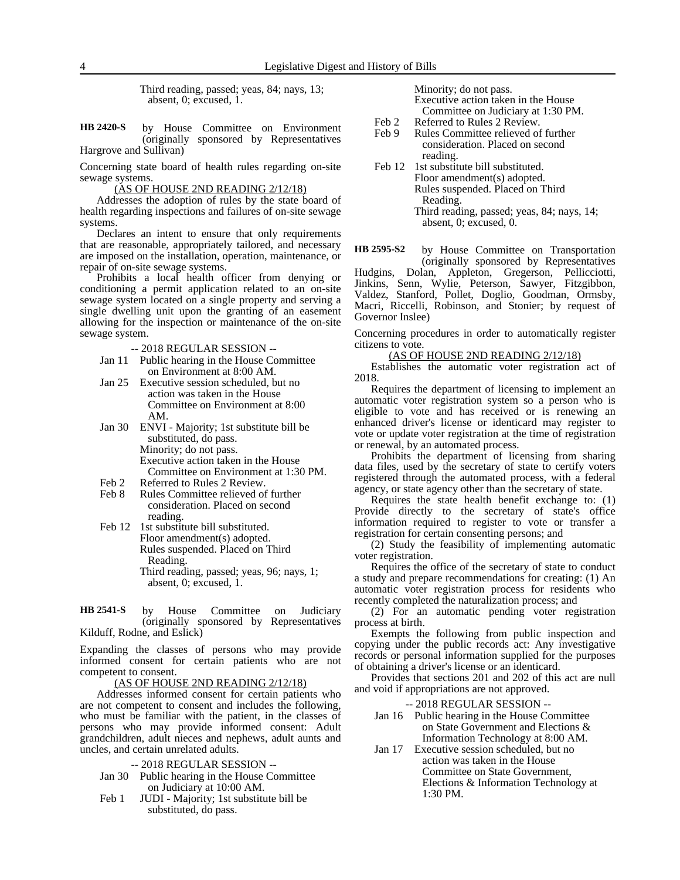Third reading, passed; yeas, 84; nays, 13; absent, 0; excused, 1.

by House Committee on Environment (originally sponsored by Representatives Hargrove and Sullivan) **HB 2420-S**

Concerning state board of health rules regarding on-site sewage systems.

(AS OF HOUSE 2ND READING 2/12/18)

Addresses the adoption of rules by the state board of health regarding inspections and failures of on-site sewage systems.

Declares an intent to ensure that only requirements that are reasonable, appropriately tailored, and necessary are imposed on the installation, operation, maintenance, or repair of on-site sewage systems.

Prohibits a local health officer from denying or conditioning a permit application related to an on-site sewage system located on a single property and serving a single dwelling unit upon the granting of an easement allowing for the inspection or maintenance of the on-site sewage system.

-- 2018 REGULAR SESSION --

- Jan 11 Public hearing in the House Committee on Environment at 8:00 AM.
- Jan 25 Executive session scheduled, but no action was taken in the House Committee on Environment at 8:00 AM.
- Jan 30 ENVI Majority; 1st substitute bill be substituted, do pass. Minority; do not pass. Executive action taken in the House Committee on Environment at 1:30 PM.
- 
- Feb 2 Referred to Rules 2 Review.<br>Feb 8 Rules Committee relieved of Rules Committee relieved of further consideration. Placed on second reading.
- Feb 12 1st substitute bill substituted. Floor amendment(s) adopted. Rules suspended. Placed on Third Reading. Third reading, passed; yeas, 96; nays, 1; absent, 0; excused, 1.

by House Committee on Judiciary (originally sponsored by Representatives Kilduff, Rodne, and Eslick) **HB 2541-S**

Expanding the classes of persons who may provide informed consent for certain patients who are not competent to consent.

(AS OF HOUSE 2ND READING 2/12/18)

Addresses informed consent for certain patients who are not competent to consent and includes the following, who must be familiar with the patient, in the classes of persons who may provide informed consent: Adult grandchildren, adult nieces and nephews, adult aunts and uncles, and certain unrelated adults.

- -- 2018 REGULAR SESSION --
- Jan 30 Public hearing in the House Committee on Judiciary at 10:00 AM.
- Feb 1 JUDI Majority; 1st substitute bill be substituted, do pass.

Minority; do not pass. Executive action taken in the House Committee on Judiciary at 1:30 PM.

Feb 2 Referred to Rules 2 Review. Feb 9 Rules Committee relieved of further consideration. Placed on second reading.

Feb 12 1st substitute bill substituted. Floor amendment(s) adopted. Rules suspended. Placed on Third Reading. Third reading, passed; yeas, 84; nays, 14; absent, 0; excused, 0.

by House Committee on Transportation (originally sponsored by Representatives Hudgins, Dolan, Appleton, Gregerson, Pellicciotti, Jinkins, Senn, Wylie, Peterson, Sawyer, Fitzgibbon, **HB 2595-S2**

Valdez, Stanford, Pollet, Doglio, Goodman, Ormsby, Macri, Riccelli, Robinson, and Stonier; by request of Governor Inslee)

Concerning procedures in order to automatically register citizens to vote.

(AS OF HOUSE 2ND READING 2/12/18)

Establishes the automatic voter registration act of 2018.

Requires the department of licensing to implement an automatic voter registration system so a person who is eligible to vote and has received or is renewing an enhanced driver's license or identicard may register to vote or update voter registration at the time of registration or renewal, by an automated process.

Prohibits the department of licensing from sharing data files, used by the secretary of state to certify voters registered through the automated process, with a federal agency, or state agency other than the secretary of state.

Requires the state health benefit exchange to: (1) Provide directly to the secretary of state's office information required to register to vote or transfer a registration for certain consenting persons; and

(2) Study the feasibility of implementing automatic voter registration.

Requires the office of the secretary of state to conduct a study and prepare recommendations for creating: (1) An automatic voter registration process for residents who recently completed the naturalization process; and

(2) For an automatic pending voter registration process at birth.

Exempts the following from public inspection and copying under the public records act: Any investigative records or personal information supplied for the purposes of obtaining a driver's license or an identicard.

Provides that sections 201 and 202 of this act are null and void if appropriations are not approved.

-- 2018 REGULAR SESSION --

Jan 16 Public hearing in the House Committee on State Government and Elections & Information Technology at 8:00 AM.

Jan 17 Executive session scheduled, but no action was taken in the House Committee on State Government, Elections & Information Technology at 1:30 PM.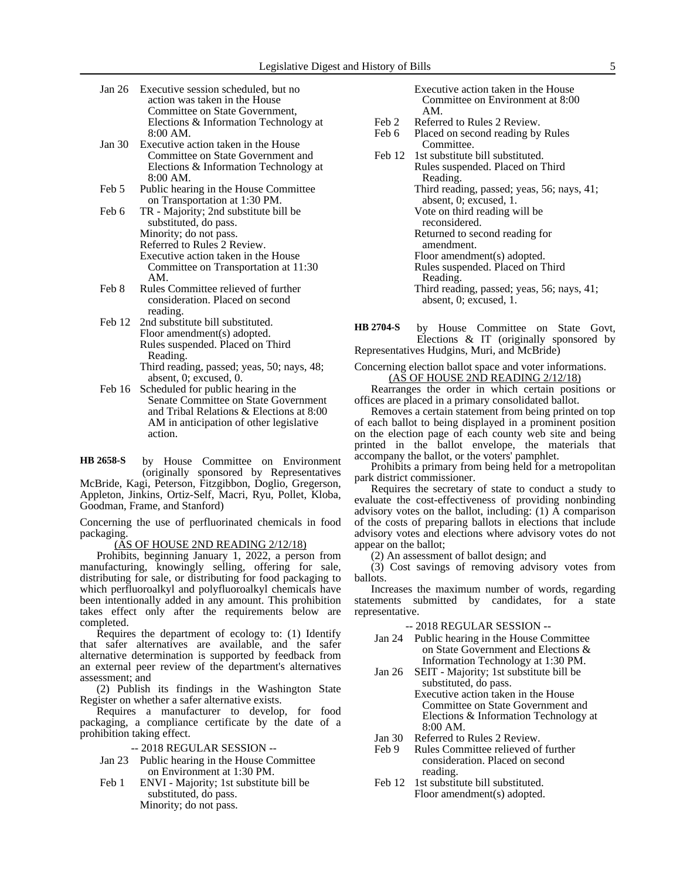- Jan 26 Executive session scheduled, but no action was taken in the House Committee on State Government, Elections & Information Technology at 8:00 AM.
- Jan 30 Executive action taken in the House Committee on State Government and Elections & Information Technology at 8:00 AM.
- Feb 5 Public hearing in the House Committee on Transportation at 1:30 PM.
- Feb 6 TR Majority; 2nd substitute bill be substituted, do pass. Minority; do not pass. Referred to Rules 2 Review. Executive action taken in the House Committee on Transportation at 11:30 AM.
- Feb 8 Rules Committee relieved of further consideration. Placed on second reading.
- Feb 12 2nd substitute bill substituted. Floor amendment(s) adopted. Rules suspended. Placed on Third Reading.
	- Third reading, passed; yeas, 50; nays, 48; absent, 0; excused, 0.
- Feb 16 Scheduled for public hearing in the Senate Committee on State Government and Tribal Relations & Elections at 8:00 AM in anticipation of other legislative action.

by House Committee on Environment (originally sponsored by Representatives McBride, Kagi, Peterson, Fitzgibbon, Doglio, Gregerson, Appleton, Jinkins, Ortiz-Self, Macri, Ryu, Pollet, Kloba, Goodman, Frame, and Stanford) **HB 2658-S**

Concerning the use of perfluorinated chemicals in food packaging.

### (AS OF HOUSE 2ND READING 2/12/18)

Prohibits, beginning January 1, 2022, a person from manufacturing, knowingly selling, offering for sale, distributing for sale, or distributing for food packaging to which perfluoroalkyl and polyfluoroalkyl chemicals have been intentionally added in any amount. This prohibition takes effect only after the requirements below are completed.

Requires the department of ecology to: (1) Identify that safer alternatives are available, and the safer alternative determination is supported by feedback from an external peer review of the department's alternatives assessment; and

(2) Publish its findings in the Washington State Register on whether a safer alternative exists.

Requires a manufacturer to develop, for food packaging, a compliance certificate by the date of a prohibition taking effect.

- -- 2018 REGULAR SESSION --
- Jan 23 Public hearing in the House Committee on Environment at 1:30 PM.
- Feb 1 ENVI Majority; 1st substitute bill be substituted, do pass. Minority; do not pass.

Executive action taken in the House Committee on Environment at 8:00 AM.

- Feb 2 Referred to Rules 2 Review.
- Feb 6 Placed on second reading by Rules Committee.
- Feb 12 1st substitute bill substituted. Rules suspended. Placed on Third Reading. Third reading, passed; yeas, 56; nays, 41; absent, 0; excused, 1. Vote on third reading will be reconsidered. Returned to second reading for amendment. Floor amendment(s) adopted. Rules suspended. Placed on Third Reading. Third reading, passed; yeas, 56; nays, 41; absent, 0; excused, 1.

by House Committee on State Govt, Elections & IT (originally sponsored by Representatives Hudgins, Muri, and McBride) **HB 2704-S**

Concerning election ballot space and voter informations. (AS OF HOUSE 2ND READING 2/12/18)

Rearranges the order in which certain positions or offices are placed in a primary consolidated ballot.

Removes a certain statement from being printed on top of each ballot to being displayed in a prominent position on the election page of each county web site and being printed in the ballot envelope, the materials that accompany the ballot, or the voters' pamphlet.

Prohibits a primary from being held for a metropolitan park district commissioner.

Requires the secretary of state to conduct a study to evaluate the cost-effectiveness of providing nonbinding advisory votes on the ballot, including:  $(1)$   $\overline{A}$  comparison of the costs of preparing ballots in elections that include advisory votes and elections where advisory votes do not appear on the ballot;

(2) An assessment of ballot design; and

(3) Cost savings of removing advisory votes from ballots.

Increases the maximum number of words, regarding statements submitted by candidates, for a state representative.

-- 2018 REGULAR SESSION --

- Jan 24 Public hearing in the House Committee on State Government and Elections & Information Technology at 1:30 PM.
- Jan 26 SEIT Majority; 1st substitute bill be substituted, do pass.
	- Executive action taken in the House Committee on State Government and Elections & Information Technology at 8:00 AM.
- Jan 30 Referred to Rules 2 Review.<br>Feb 9 Rules Committee relieved of
- Rules Committee relieved of further consideration. Placed on second reading.
- Feb 12 1st substitute bill substituted. Floor amendment(s) adopted.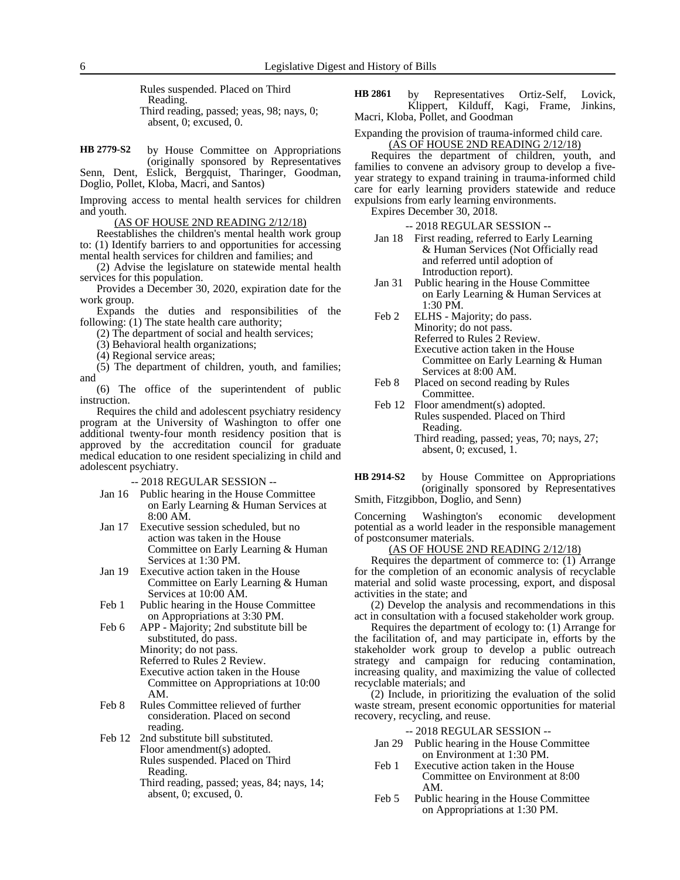Rules suspended. Placed on Third Reading. Third reading, passed; yeas, 98; nays, 0; absent, 0; excused, 0.

by House Committee on Appropriations (originally sponsored by Representatives Senn, Dent, Eslick, Bergquist, Tharinger, Goodman, **HB 2779-S2**

Doglio, Pollet, Kloba, Macri, and Santos)

Improving access to mental health services for children and youth.

(AS OF HOUSE 2ND READING 2/12/18)

Reestablishes the children's mental health work group to: (1) Identify barriers to and opportunities for accessing mental health services for children and families; and

(2) Advise the legislature on statewide mental health services for this population.

Provides a December 30, 2020, expiration date for the work group.

Expands the duties and responsibilities of the following: (1) The state health care authority;

(2) The department of social and health services;

(3) Behavioral health organizations;

(4) Regional service areas;

(5) The department of children, youth, and families; and

(6) The office of the superintendent of public instruction.

Requires the child and adolescent psychiatry residency program at the University of Washington to offer one additional twenty-four month residency position that is approved by the accreditation council for graduate medical education to one resident specializing in child and adolescent psychiatry.

-- 2018 REGULAR SESSION --

- Jan 16 Public hearing in the House Committee on Early Learning & Human Services at 8:00 AM.
- Jan 17 Executive session scheduled, but no action was taken in the House Committee on Early Learning & Human Services at 1:30 PM.
- Jan 19 Executive action taken in the House Committee on Early Learning & Human Services at 10:00 AM.
- Feb 1 Public hearing in the House Committee on Appropriations at 3:30 PM.
- Feb 6 APP Majority; 2nd substitute bill be substituted, do pass. Minority; do not pass.

Referred to Rules 2 Review. Executive action taken in the House Committee on Appropriations at 10:00 AM.

- Feb 8 Rules Committee relieved of further consideration. Placed on second reading.
- Feb 12 2nd substitute bill substituted. Floor amendment(s) adopted. Rules suspended. Placed on Third Reading.
	- Third reading, passed; yeas, 84; nays, 14; absent, 0; excused, 0.

by Representatives Ortiz-Self, Lovick, Klippert, Kilduff, Kagi, Frame, Jinkins, Macri, Kloba, Pollet, and Goodman **HB 2861**

Expanding the provision of trauma-informed child care. (AS OF HOUSE 2ND READING 2/12/18)

Requires the department of children, youth, and families to convene an advisory group to develop a fiveyear strategy to expand training in trauma-informed child care for early learning providers statewide and reduce expulsions from early learning environments.

Expires December 30, 2018.

-- 2018 REGULAR SESSION --

- Jan 18 First reading, referred to Early Learning & Human Services (Not Officially read and referred until adoption of Introduction report).
- Jan 31 Public hearing in the House Committee on Early Learning & Human Services at 1:30 PM.

Feb 2 ELHS - Majority; do pass. Minority; do not pass. Referred to Rules 2 Review. Executive action taken in the House Committee on Early Learning & Human Services at 8:00 AM.

- Feb 8 Placed on second reading by Rules Committee.
- Feb 12 Floor amendment(s) adopted. Rules suspended. Placed on Third Reading. Third reading, passed; yeas, 70; nays, 27; absent, 0; excused, 1.

by House Committee on Appropriations (originally sponsored by Representatives Smith, Fitzgibbon, Doglio, and Senn) **HB 2914-S2**

Concerning Washington's economic development potential as a world leader in the responsible management of postconsumer materials.

(AS OF HOUSE 2ND READING 2/12/18)

Requires the department of commerce to: (1) Arrange for the completion of an economic analysis of recyclable material and solid waste processing, export, and disposal activities in the state; and

(2) Develop the analysis and recommendations in this act in consultation with a focused stakeholder work group.

Requires the department of ecology to: (1) Arrange for the facilitation of, and may participate in, efforts by the stakeholder work group to develop a public outreach strategy and campaign for reducing contamination, increasing quality, and maximizing the value of collected recyclable materials; and

(2) Include, in prioritizing the evaluation of the solid waste stream, present economic opportunities for material recovery, recycling, and reuse.

-- 2018 REGULAR SESSION --

- Jan 29 Public hearing in the House Committee on Environment at 1:30 PM.
- Feb 1 Executive action taken in the House Committee on Environment at 8:00 AM.
- Feb 5 Public hearing in the House Committee on Appropriations at 1:30 PM.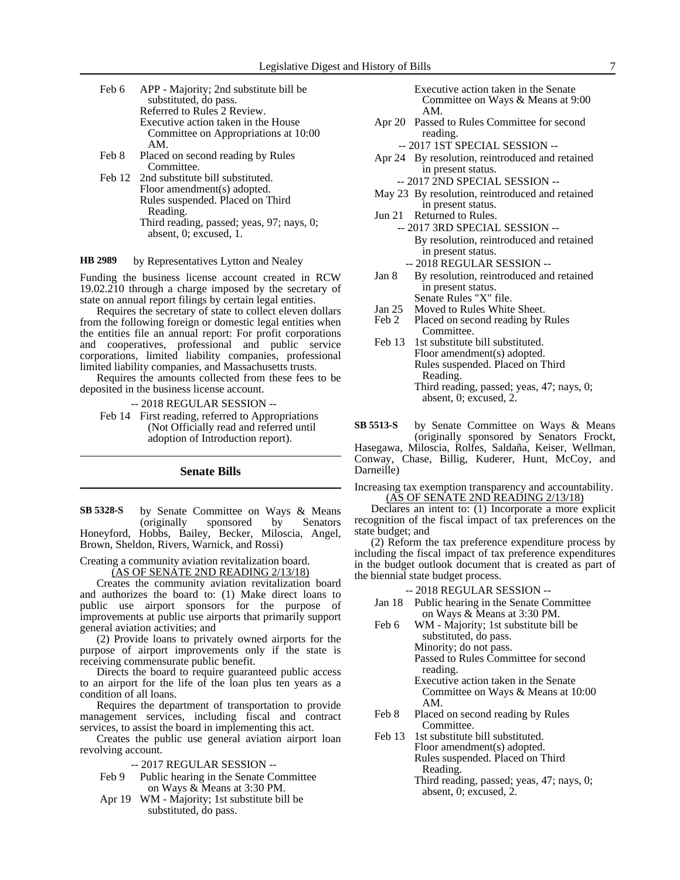- Feb 6 APP Majority; 2nd substitute bill be substituted, do pass. Referred to Rules 2 Review. Executive action taken in the House Committee on Appropriations at 10:00 AM. Feb 8 Placed on second reading by Rules
- Committee. Feb 12 2nd substitute bill substituted.
- Floor amendment(s) adopted. Rules suspended. Placed on Third Reading. Third reading, passed; yeas, 97; nays, 0; absent, 0; excused, 1.

#### by Representatives Lytton and Nealey **HB 2989**

Funding the business license account created in RCW 19.02.210 through a charge imposed by the secretary of state on annual report filings by certain legal entities.

Requires the secretary of state to collect eleven dollars from the following foreign or domestic legal entities when the entities file an annual report: For profit corporations and cooperatives, professional and public service corporations, limited liability companies, professional limited liability companies, and Massachusetts trusts.

Requires the amounts collected from these fees to be deposited in the business license account.

-- 2018 REGULAR SESSION --

Feb 14 First reading, referred to Appropriations (Not Officially read and referred until adoption of Introduction report).

### **Senate Bills**

by Senate Committee on Ways & Means (originally sponsored by Senators Honeyford, Hobbs, Bailey, Becker, Miloscia, Angel, Brown, Sheldon, Rivers, Warnick, and Rossi) **SB 5328-S**

Creating a community aviation revitalization board.

(AS OF SENATE 2ND READING 2/13/18)

Creates the community aviation revitalization board and authorizes the board to: (1) Make direct loans to public use airport sponsors for the purpose of improvements at public use airports that primarily support general aviation activities; and

(2) Provide loans to privately owned airports for the purpose of airport improvements only if the state is receiving commensurate public benefit.

Directs the board to require guaranteed public access to an airport for the life of the loan plus ten years as a condition of all loans.

Requires the department of transportation to provide management services, including fiscal and contract services, to assist the board in implementing this act.

Creates the public use general aviation airport loan revolving account.

- -- 2017 REGULAR SESSION --
- Feb 9 Public hearing in the Senate Committee on Ways & Means at 3:30 PM.
- Apr 19 WM Majority; 1st substitute bill be substituted, do pass.
- Executive action taken in the Senate Committee on Ways & Means at 9:00 AM.
- Apr 20 Passed to Rules Committee for second reading.
	- -- 2017 1ST SPECIAL SESSION --
- Apr 24 By resolution, reintroduced and retained in present status.
	- -- 2017 2ND SPECIAL SESSION --
- May 23 By resolution, reintroduced and retained in present status.
- Jun 21 Returned to Rules. -- 2017 3RD SPECIAL SESSION -- By resolution, reintroduced and retained in present status.
	- -- 2018 REGULAR SESSION --
- Jan 8 By resolution, reintroduced and retained in present status. Senate Rules "X" file.
- Jan 25 Moved to Rules White Sheet.
- Feb 2 Placed on second reading by Rules Committee.
- Feb 13 1st substitute bill substituted. Floor amendment(s) adopted. Rules suspended. Placed on Third Reading. Third reading, passed; yeas, 47; nays, 0; absent, 0; excused, 2.
- by Senate Committee on Ways & Means (originally sponsored by Senators Frockt, Hasegawa, Miloscia, Rolfes, Saldaña, Keiser, Wellman, Conway, Chase, Billig, Kuderer, Hunt, McCoy, and Darneille) **SB 5513-S**
- Increasing tax exemption transparency and accountability. (AS OF SENATE 2ND READING 2/13/18)

Declares an intent to: (1) Incorporate a more explicit recognition of the fiscal impact of tax preferences on the state budget; and

(2) Reform the tax preference expenditure process by including the fiscal impact of tax preference expenditures in the budget outlook document that is created as part of the biennial state budget process.

### -- 2018 REGULAR SESSION --

- Jan 18 Public hearing in the Senate Committee on Ways & Means at 3:30 PM.
- Feb 6 WM Majority; 1st substitute bill be substituted, do pass. Minority; do not pass. Passed to Rules Committee for second
	- reading. Executive action taken in the Senate Committee on Ways & Means at 10:00 AM.
- Feb 8 Placed on second reading by Rules Committee.
- Feb 13 1st substitute bill substituted. Floor amendment(s) adopted. Rules suspended. Placed on Third Reading.
	- Third reading, passed; yeas, 47; nays, 0; absent, 0; excused, 2.